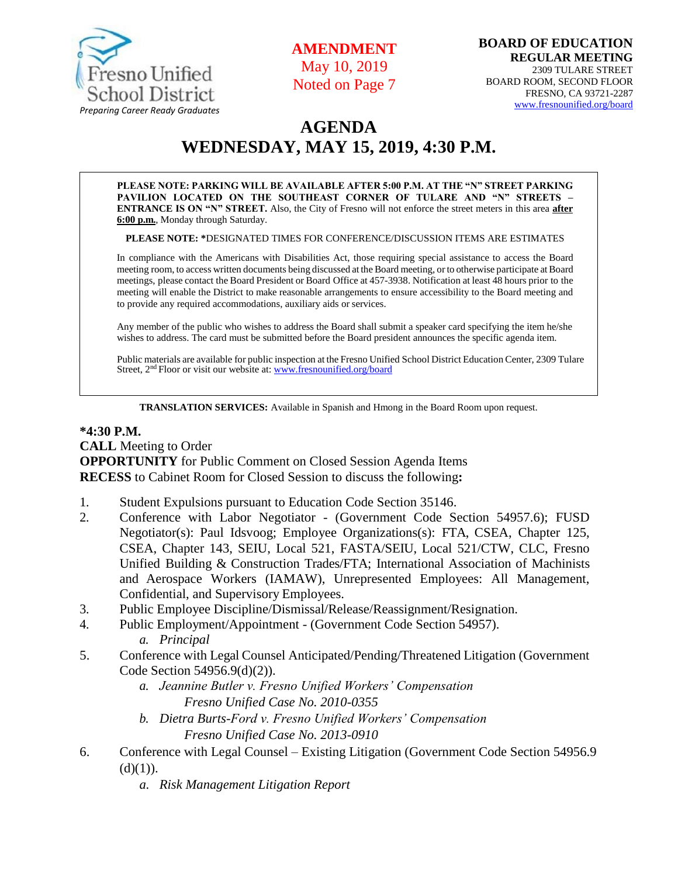

**AMENDMENT** May 10, 2019 Noted on Page 7

# **AGENDA WEDNESDAY, MAY 15, 2019, 4:30 P.M.**

**PLEASE NOTE: PARKING WILL BE AVAILABLE AFTER 5:00 P.M. AT THE "N" STREET PARKING PAVILION LOCATED ON THE SOUTHEAST CORNER OF TULARE AND "N" STREETS – ENTRANCE IS ON "N" STREET.** Also, the City of Fresno will not enforce the street meters in this area **after 6:00 p.m.**, Monday through Saturday.

**PLEASE NOTE: \***DESIGNATED TIMES FOR CONFERENCE/DISCUSSION ITEMS ARE ESTIMATES

In compliance with the Americans with Disabilities Act, those requiring special assistance to access the Board meeting room, to access written documents being discussed at the Board meeting, or to otherwise participate at Board meetings, please contact the Board President or Board Office at 457-3938. Notification at least 48 hours prior to the meeting will enable the District to make reasonable arrangements to ensure accessibility to the Board meeting and to provide any required accommodations, auxiliary aids or services.

Any member of the public who wishes to address the Board shall submit a speaker card specifying the item he/she wishes to address. The card must be submitted before the Board president announces the specific agenda item.

Public materials are available for public inspection at the Fresno Unified School District Education Center, 2309 Tulare Street, 2<sup>nd</sup> Floor or visit our website at: **[www.fresnounified.org/board](http://www.fresnounified.org/board)** 

**TRANSLATION SERVICES:** Available in Spanish and Hmong in the Board Room upon request.

#### **\*4:30 P.M.**

**CALL** Meeting to Order **OPPORTUNITY** for Public Comment on Closed Session Agenda Items **RECESS** to Cabinet Room for Closed Session to discuss the following**:**

- 1. Student Expulsions pursuant to Education Code Section 35146.
- 2. Conference with Labor Negotiator (Government Code Section 54957.6); FUSD Negotiator(s): Paul Idsvoog; Employee Organizations(s): FTA, CSEA, Chapter 125, CSEA, Chapter 143, SEIU, Local 521, FASTA/SEIU, Local 521/CTW, CLC, Fresno Unified Building & Construction Trades/FTA; International Association of Machinists and Aerospace Workers (IAMAW), Unrepresented Employees: All Management, Confidential, and Supervisory Employees.
- 3. Public Employee Discipline/Dismissal/Release/Reassignment/Resignation.
- 4. Public Employment/Appointment (Government Code Section 54957).
	- *a. Principal*
- 5. Conference with Legal Counsel Anticipated/Pending/Threatened Litigation (Government Code Section 54956.9(d)(2)).
	- *a. Jeannine Butler v. Fresno Unified Workers' Compensation Fresno Unified Case No. 2010-0355*
	- *b. Dietra Burts-Ford v. Fresno Unified Workers' Compensation Fresno Unified Case No. 2013-0910*
- 6. Conference with Legal Counsel Existing Litigation (Government Code Section 54956.9  $(d)(1)).$ 
	- *a. Risk Management Litigation Report*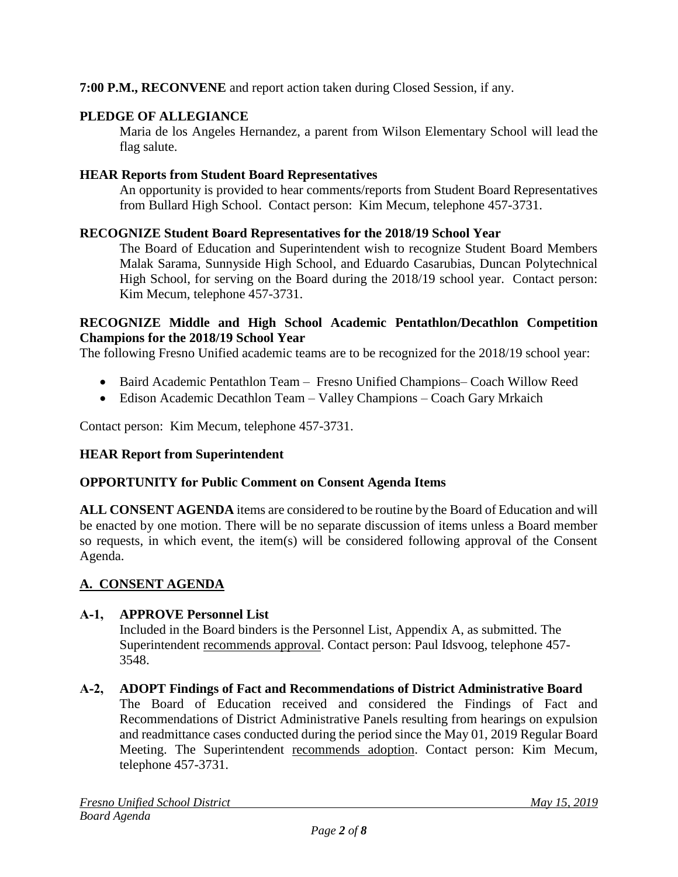## **7:00 P.M., RECONVENE** and report action taken during Closed Session, if any.

## **PLEDGE OF ALLEGIANCE**

Maria de los Angeles Hernandez, a parent from Wilson Elementary School will lead the flag salute.

### **HEAR Reports from Student Board Representatives**

An opportunity is provided to hear comments/reports from Student Board Representatives from Bullard High School. Contact person: Kim Mecum, telephone 457-3731.

### **RECOGNIZE Student Board Representatives for the 2018/19 School Year**

The Board of Education and Superintendent wish to recognize Student Board Members Malak Sarama, Sunnyside High School, and Eduardo Casarubias, Duncan Polytechnical High School, for serving on the Board during the 2018/19 school year. Contact person: Kim Mecum, telephone 457-3731.

#### **RECOGNIZE Middle and High School Academic Pentathlon/Decathlon Competition Champions for the 2018/19 School Year**

The following Fresno Unified academic teams are to be recognized for the 2018/19 school year:

- Baird Academic Pentathlon Team Fresno Unified Champions– Coach Willow Reed
- Edison Academic Decathlon Team Valley Champions Coach Gary Mrkaich

Contact person: Kim Mecum, telephone 457-3731.

### **HEAR Report from Superintendent**

### **OPPORTUNITY for Public Comment on Consent Agenda Items**

**ALL CONSENT AGENDA** items are considered to be routine by the Board of Education and will be enacted by one motion. There will be no separate discussion of items unless a Board member so requests, in which event, the item(s) will be considered following approval of the Consent Agenda.

### **A. CONSENT AGENDA**

### **A-1, APPROVE Personnel List**

Included in the Board binders is the Personnel List, Appendix A, as submitted. The Superintendent recommends approval. Contact person: Paul Idsvoog, telephone 457- 3548.

# **A-2, ADOPT Findings of Fact and Recommendations of District Administrative Board**

The Board of Education received and considered the Findings of Fact and Recommendations of District Administrative Panels resulting from hearings on expulsion and readmittance cases conducted during the period since the May 01, 2019 Regular Board Meeting. The Superintendent recommends adoption. Contact person: Kim Mecum, telephone 457-3731.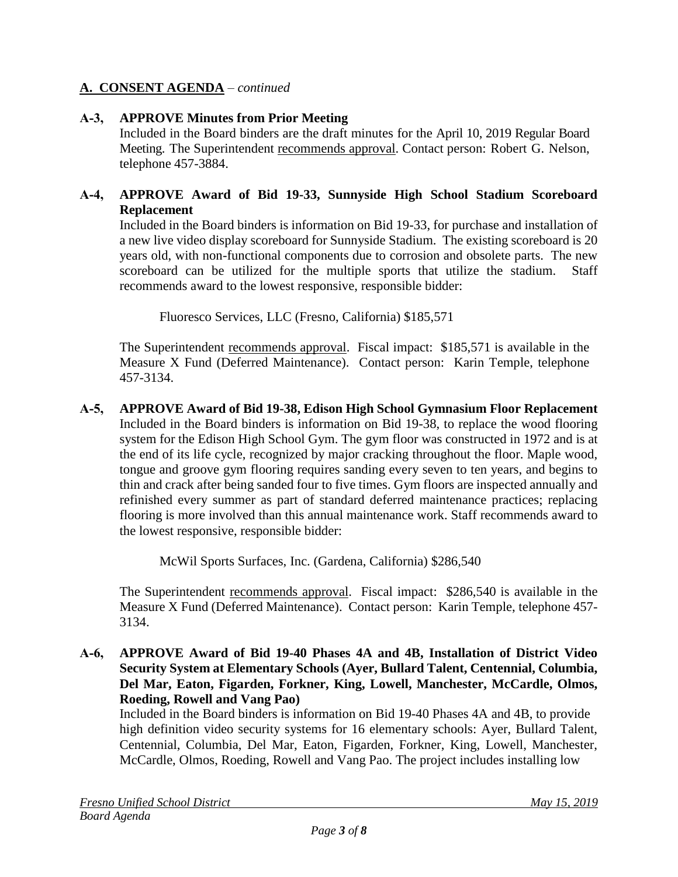### **A. CONSENT AGENDA** – *continued*

#### **A-3, APPROVE Minutes from Prior Meeting**

Included in the Board binders are the draft minutes for the April 10, 2019 Regular Board Meeting. The Superintendent recommends approval. Contact person: Robert G. Nelson, telephone 457-3884.

#### **A-4, APPROVE Award of Bid 19-33, Sunnyside High School Stadium Scoreboard Replacement**

Included in the Board binders is information on Bid 19-33, for purchase and installation of a new live video display scoreboard for Sunnyside Stadium. The existing scoreboard is 20 years old, with non-functional components due to corrosion and obsolete parts. The new scoreboard can be utilized for the multiple sports that utilize the stadium. Staff recommends award to the lowest responsive, responsible bidder:

Fluoresco Services, LLC (Fresno, California) \$185,571

The Superintendent recommends approval. Fiscal impact: \$185,571 is available in the Measure X Fund (Deferred Maintenance). Contact person: Karin Temple, telephone 457-3134.

**A-5, APPROVE Award of Bid 19-38, Edison High School Gymnasium Floor Replacement** Included in the Board binders is information on Bid 19-38, to replace the wood flooring system for the Edison High School Gym. The gym floor was constructed in 1972 and is at the end of its life cycle, recognized by major cracking throughout the floor. Maple wood, tongue and groove gym flooring requires sanding every seven to ten years, and begins to thin and crack after being sanded four to five times. Gym floors are inspected annually and refinished every summer as part of standard deferred maintenance practices; replacing flooring is more involved than this annual maintenance work. Staff recommends award to the lowest responsive, responsible bidder:

McWil Sports Surfaces, Inc. (Gardena, California) \$286,540

The Superintendent recommends approval. Fiscal impact: \$286,540 is available in the Measure X Fund (Deferred Maintenance). Contact person: Karin Temple, telephone 457- 3134.

**A-6, APPROVE Award of Bid 19-40 Phases 4A and 4B, Installation of District Video Security System at Elementary Schools (Ayer, Bullard Talent, Centennial, Columbia, Del Mar, Eaton, Figarden, Forkner, King, Lowell, Manchester, McCardle, Olmos, Roeding, Rowell and Vang Pao)**

Included in the Board binders is information on Bid 19-40 Phases 4A and 4B, to provide high definition video security systems for 16 elementary schools: Ayer, Bullard Talent, Centennial, Columbia, Del Mar, Eaton, Figarden, Forkner, King, Lowell, Manchester, McCardle, Olmos, Roeding, Rowell and Vang Pao. The project includes installing low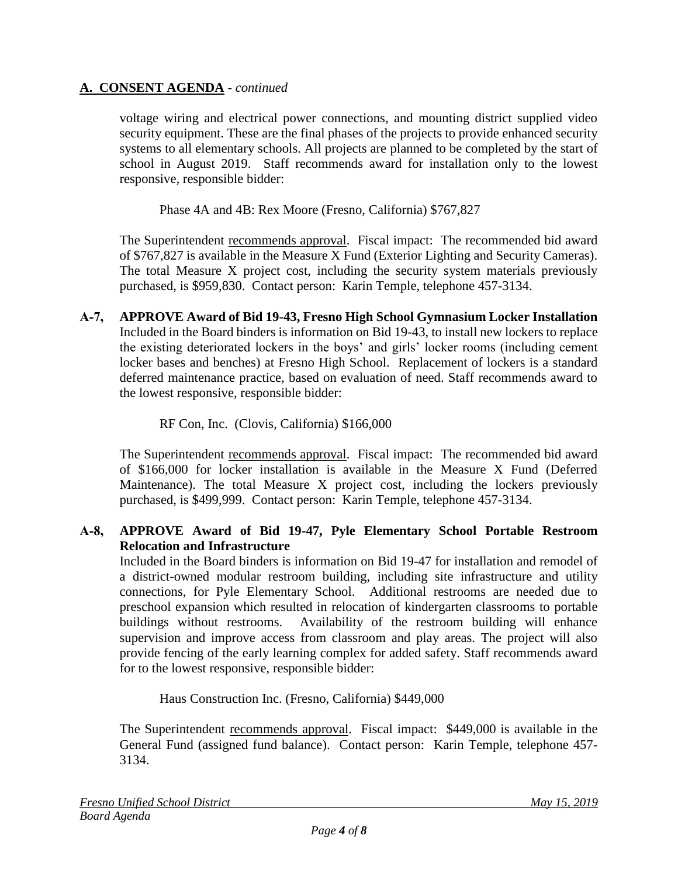### **A. CONSENT AGENDA** - *continued*

voltage wiring and electrical power connections, and mounting district supplied video security equipment. These are the final phases of the projects to provide enhanced security systems to all elementary schools. All projects are planned to be completed by the start of school in August 2019. Staff recommends award for installation only to the lowest responsive, responsible bidder:

Phase 4A and 4B: Rex Moore (Fresno, California) \$767,827

The Superintendent recommends approval. Fiscal impact: The recommended bid award of \$767,827 is available in the Measure X Fund (Exterior Lighting and Security Cameras). The total Measure X project cost, including the security system materials previously purchased, is \$959,830. Contact person: Karin Temple, telephone 457-3134.

**A-7, APPROVE Award of Bid 19-43, Fresno High School Gymnasium Locker Installation** Included in the Board binders is information on Bid 19-43, to install new lockers to replace the existing deteriorated lockers in the boys' and girls' locker rooms (including cement locker bases and benches) at Fresno High School. Replacement of lockers is a standard deferred maintenance practice, based on evaluation of need. Staff recommends award to the lowest responsive, responsible bidder:

### RF Con, Inc. (Clovis, California) \$166,000

The Superintendent recommends approval. Fiscal impact: The recommended bid award of \$166,000 for locker installation is available in the Measure X Fund (Deferred Maintenance). The total Measure X project cost, including the lockers previously purchased, is \$499,999. Contact person: Karin Temple, telephone 457-3134.

### **A-8, APPROVE Award of Bid 19-47, Pyle Elementary School Portable Restroom Relocation and Infrastructure**

Included in the Board binders is information on Bid 19-47 for installation and remodel of a district-owned modular restroom building, including site infrastructure and utility connections, for Pyle Elementary School. Additional restrooms are needed due to preschool expansion which resulted in relocation of kindergarten classrooms to portable buildings without restrooms. Availability of the restroom building will enhance supervision and improve access from classroom and play areas. The project will also provide fencing of the early learning complex for added safety. Staff recommends award for to the lowest responsive, responsible bidder:

Haus Construction Inc. (Fresno, California) \$449,000

The Superintendent recommends approval. Fiscal impact: \$449,000 is available in the General Fund (assigned fund balance). Contact person: Karin Temple, telephone 457- 3134.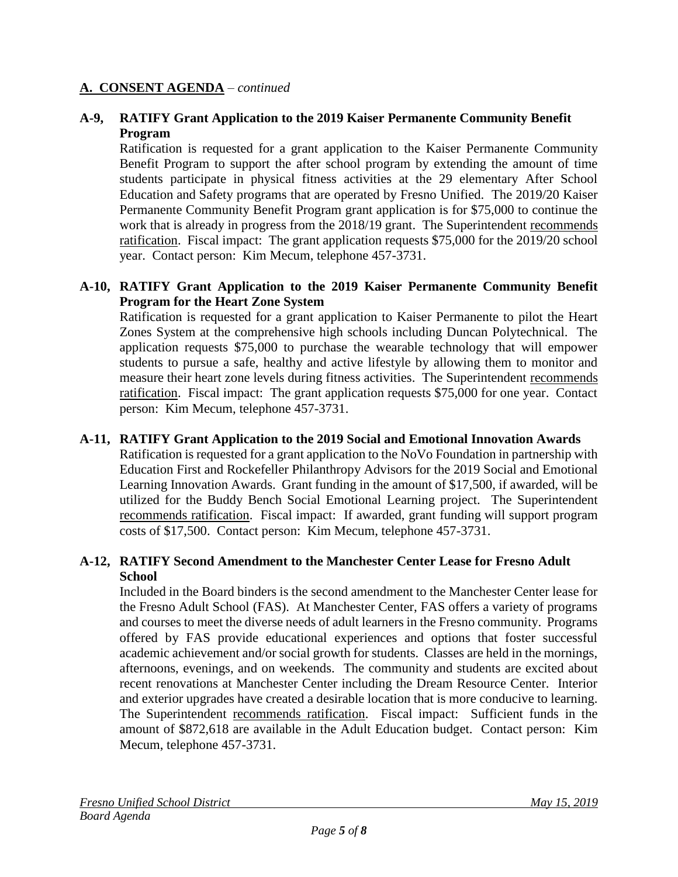### **A. CONSENT AGENDA** – *continued*

#### **A-9, RATIFY Grant Application to the 2019 Kaiser Permanente Community Benefit Program**

Ratification is requested for a grant application to the Kaiser Permanente Community Benefit Program to support the after school program by extending the amount of time students participate in physical fitness activities at the 29 elementary After School Education and Safety programs that are operated by Fresno Unified. The 2019/20 Kaiser Permanente Community Benefit Program grant application is for \$75,000 to continue the work that is already in progress from the 2018/19 grant. The Superintendent recommends ratification. Fiscal impact: The grant application requests \$75,000 for the 2019/20 school year. Contact person: Kim Mecum, telephone 457-3731.

#### **A-10, RATIFY Grant Application to the 2019 Kaiser Permanente Community Benefit Program for the Heart Zone System**

Ratification is requested for a grant application to Kaiser Permanente to pilot the Heart Zones System at the comprehensive high schools including Duncan Polytechnical. The application requests \$75,000 to purchase the wearable technology that will empower students to pursue a safe, healthy and active lifestyle by allowing them to monitor and measure their heart zone levels during fitness activities. The Superintendent recommends ratification. Fiscal impact: The grant application requests \$75,000 for one year. Contact person: Kim Mecum, telephone 457-3731.

#### **A-11, RATIFY Grant Application to the 2019 Social and Emotional Innovation Awards**

Ratification is requested for a grant application to the NoVo Foundation in partnership with Education First and Rockefeller Philanthropy Advisors for the 2019 Social and Emotional Learning Innovation Awards. Grant funding in the amount of \$17,500, if awarded, will be utilized for the Buddy Bench Social Emotional Learning project. The Superintendent recommends ratification. Fiscal impact: If awarded, grant funding will support program costs of \$17,500. Contact person: Kim Mecum, telephone 457-3731.

#### **A-12, RATIFY Second Amendment to the Manchester Center Lease for Fresno Adult School**

Included in the Board binders is the second amendment to the Manchester Center lease for the Fresno Adult School (FAS). At Manchester Center, FAS offers a variety of programs and courses to meet the diverse needs of adult learners in the Fresno community. Programs offered by FAS provide educational experiences and options that foster successful academic achievement and/or social growth for students. Classes are held in the mornings, afternoons, evenings, and on weekends. The community and students are excited about recent renovations at Manchester Center including the Dream Resource Center. Interior and exterior upgrades have created a desirable location that is more conducive to learning. The Superintendent recommends ratification. Fiscal impact: Sufficient funds in the amount of \$872,618 are available in the Adult Education budget. Contact person: Kim Mecum, telephone 457-3731.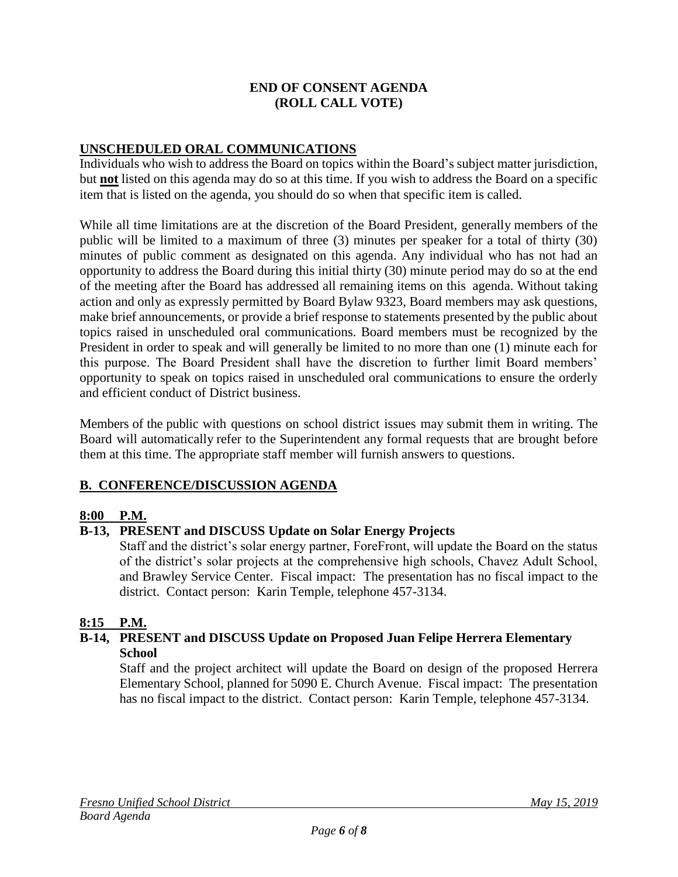#### **END OF CONSENT AGENDA (ROLL CALL VOTE)**

### **UNSCHEDULED ORAL COMMUNICATIONS**

Individuals who wish to address the Board on topics within the Board's subject matter jurisdiction, but **not** listed on this agenda may do so at this time. If you wish to address the Board on a specific item that is listed on the agenda, you should do so when that specific item is called.

While all time limitations are at the discretion of the Board President, generally members of the public will be limited to a maximum of three (3) minutes per speaker for a total of thirty (30) minutes of public comment as designated on this agenda. Any individual who has not had an opportunity to address the Board during this initial thirty (30) minute period may do so at the end of the meeting after the Board has addressed all remaining items on this agenda. Without taking action and only as expressly permitted by Board Bylaw 9323, Board members may ask questions, make brief announcements, or provide a brief response to statements presented by the public about topics raised in unscheduled oral communications. Board members must be recognized by the President in order to speak and will generally be limited to no more than one (1) minute each for this purpose. The Board President shall have the discretion to further limit Board members' opportunity to speak on topics raised in unscheduled oral communications to ensure the orderly and efficient conduct of District business.

Members of the public with questions on school district issues may submit them in writing. The Board will automatically refer to the Superintendent any formal requests that are brought before them at this time. The appropriate staff member will furnish answers to questions.

### **B. CONFERENCE/DISCUSSION AGENDA**

#### **8:00 P.M.**

#### **B-13, PRESENT and DISCUSS Update on Solar Energy Projects**

Staff and the district's solar energy partner, ForeFront, will update the Board on the status of the district's solar projects at the comprehensive high schools, Chavez Adult School, and Brawley Service Center. Fiscal impact: The presentation has no fiscal impact to the district. Contact person: Karin Temple, telephone 457-3134.

#### **8:15 P.M.**

#### **B-14, PRESENT and DISCUSS Update on Proposed Juan Felipe Herrera Elementary School**

Staff and the project architect will update the Board on design of the proposed Herrera Elementary School, planned for 5090 E. Church Avenue. Fiscal impact: The presentation has no fiscal impact to the district. Contact person: Karin Temple, telephone 457-3134.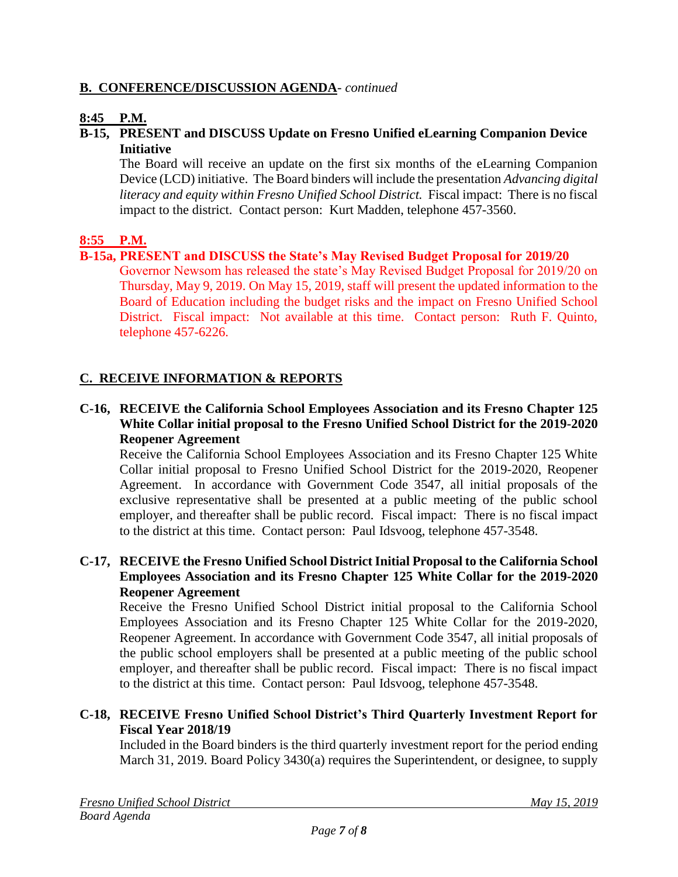### **B. CONFERENCE/DISCUSSION AGENDA***- continued*

### **8:45 P.M.**

#### **B-15, PRESENT and DISCUSS Update on Fresno Unified eLearning Companion Device Initiative**

The Board will receive an update on the first six months of the eLearning Companion Device (LCD) initiative. The Board binders will include the presentation *Advancing digital literacy and equity within Fresno Unified School District.* Fiscal impact: There is no fiscal impact to the district. Contact person: Kurt Madden, telephone 457-3560.

#### **8:55 P.M.**

#### **B-15a, PRESENT and DISCUSS the State's May Revised Budget Proposal for 2019/20**

Governor Newsom has released the state's May Revised Budget Proposal for 2019/20 on Thursday, May 9, 2019. On May 15, 2019, staff will present the updated information to the Board of Education including the budget risks and the impact on Fresno Unified School District. Fiscal impact: Not available at this time. Contact person: Ruth F. Quinto, telephone 457-6226.

### **C. RECEIVE INFORMATION & REPORTS**

#### **C-16, RECEIVE the California School Employees Association and its Fresno Chapter 125 White Collar initial proposal to the Fresno Unified School District for the 2019-2020 Reopener Agreement**

Receive the California School Employees Association and its Fresno Chapter 125 White Collar initial proposal to Fresno Unified School District for the 2019-2020, Reopener Agreement. In accordance with Government Code 3547, all initial proposals of the exclusive representative shall be presented at a public meeting of the public school employer, and thereafter shall be public record. Fiscal impact: There is no fiscal impact to the district at this time. Contact person: Paul Idsvoog, telephone 457-3548.

#### **C-17, RECEIVE the Fresno Unified School District Initial Proposal to the California School Employees Association and its Fresno Chapter 125 White Collar for the 2019-2020 Reopener Agreement**

Receive the Fresno Unified School District initial proposal to the California School Employees Association and its Fresno Chapter 125 White Collar for the 2019-2020, Reopener Agreement. In accordance with Government Code 3547, all initial proposals of the public school employers shall be presented at a public meeting of the public school employer, and thereafter shall be public record. Fiscal impact: There is no fiscal impact to the district at this time. Contact person: Paul Idsvoog, telephone 457-3548.

### **C-18, RECEIVE Fresno Unified School District's Third Quarterly Investment Report for Fiscal Year 2018/19**

Included in the Board binders is the third quarterly investment report for the period ending March 31, 2019. Board Policy 3430(a) requires the Superintendent, or designee, to supply